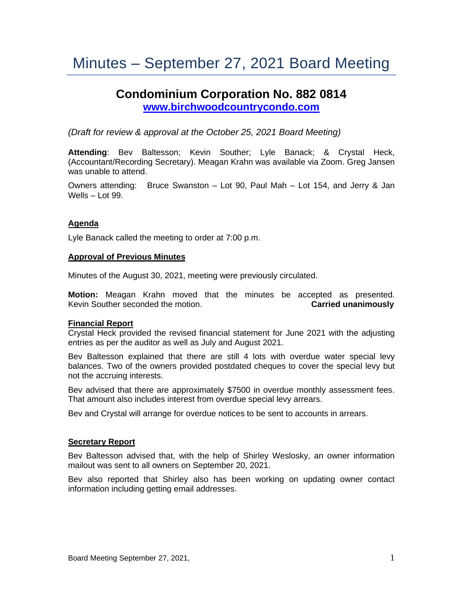# Minutes – September 27, 2021 Board Meeting

# **Condominium Corporation No. 882 0814 [www.birchwoodcountrycondo.com](http://www.birchwoodcountrycondo.com/)**

*(Draft for review & approval at the October 25, 2021 Board Meeting)*

**Attending**: Bev Baltesson; Kevin Souther; Lyle Banack; & Crystal Heck, (Accountant/Recording Secretary). Meagan Krahn was available via Zoom. Greg Jansen was unable to attend.

Owners attending: Bruce Swanston – Lot 90, Paul Mah – Lot 154, and Jerry & Jan Wells – Lot 99.

## **Agenda**

Lyle Banack called the meeting to order at 7:00 p.m.

#### **Approval of Previous Minutes**

Minutes of the August 30, 2021, meeting were previously circulated.

**Motion:** Meagan Krahn moved that the minutes be accepted as presented. Kevin Souther seconded the motion. **Carried unanimously**

#### **Financial Report**

Crystal Heck provided the revised financial statement for June 2021 with the adjusting entries as per the auditor as well as July and August 2021.

Bev Baltesson explained that there are still 4 lots with overdue water special levy balances. Two of the owners provided postdated cheques to cover the special levy but not the accruing interests.

Bev advised that there are approximately \$7500 in overdue monthly assessment fees. That amount also includes interest from overdue special levy arrears.

Bev and Crystal will arrange for overdue notices to be sent to accounts in arrears.

#### **Secretary Report**

Bev Baltesson advised that, with the help of Shirley Weslosky, an owner information mailout was sent to all owners on September 20, 2021.

Bev also reported that Shirley also has been working on updating owner contact information including getting email addresses.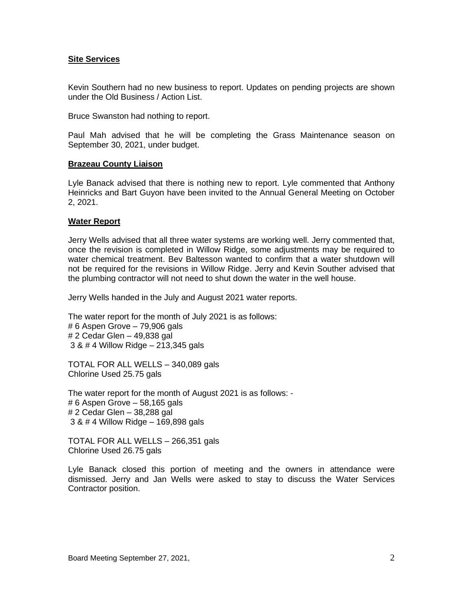#### **Site Services**

Kevin Southern had no new business to report. Updates on pending projects are shown under the Old Business / Action List.

Bruce Swanston had nothing to report.

Paul Mah advised that he will be completing the Grass Maintenance season on September 30, 2021, under budget.

#### **Brazeau County Liaison**

Lyle Banack advised that there is nothing new to report. Lyle commented that Anthony Heinricks and Bart Guyon have been invited to the Annual General Meeting on October 2, 2021.

## **Water Report**

Jerry Wells advised that all three water systems are working well. Jerry commented that, once the revision is completed in Willow Ridge, some adjustments may be required to water chemical treatment. Bev Baltesson wanted to confirm that a water shutdown will not be required for the revisions in Willow Ridge. Jerry and Kevin Souther advised that the plumbing contractor will not need to shut down the water in the well house.

Jerry Wells handed in the July and August 2021 water reports.

The water report for the month of July 2021 is as follows: # 6 Aspen Grove – 79,906 gals # 2 Cedar Glen – 49,838 gal 3 & # 4 Willow Ridge – 213,345 gals

TOTAL FOR ALL WELLS – 340,089 gals Chlorine Used 25.75 gals

The water report for the month of August 2021 is as follows: - # 6 Aspen Grove – 58,165 gals # 2 Cedar Glen – 38,288 gal 3 & # 4 Willow Ridge – 169,898 gals

TOTAL FOR ALL WELLS – 266,351 gals Chlorine Used 26.75 gals

Lyle Banack closed this portion of meeting and the owners in attendance were dismissed. Jerry and Jan Wells were asked to stay to discuss the Water Services Contractor position.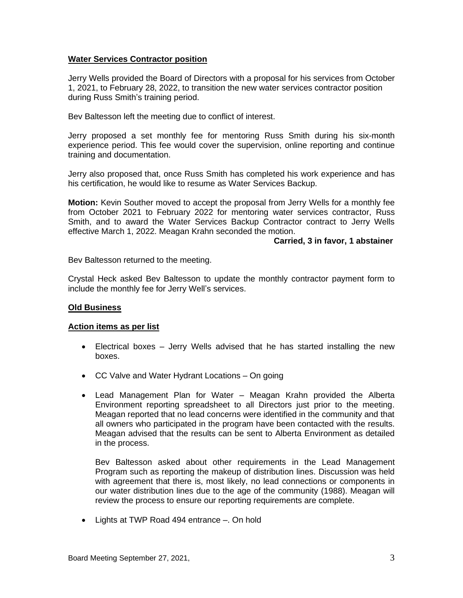# **Water Services Contractor position**

Jerry Wells provided the Board of Directors with a proposal for his services from October 1, 2021, to February 28, 2022, to transition the new water services contractor position during Russ Smith's training period.

Bev Baltesson left the meeting due to conflict of interest.

Jerry proposed a set monthly fee for mentoring Russ Smith during his six-month experience period. This fee would cover the supervision, online reporting and continue training and documentation.

Jerry also proposed that, once Russ Smith has completed his work experience and has his certification, he would like to resume as Water Services Backup.

**Motion:** Kevin Souther moved to accept the proposal from Jerry Wells for a monthly fee from October 2021 to February 2022 for mentoring water services contractor, Russ Smith, and to award the Water Services Backup Contractor contract to Jerry Wells effective March 1, 2022. Meagan Krahn seconded the motion.

#### **Carried, 3 in favor, 1 abstainer**

Bev Baltesson returned to the meeting.

Crystal Heck asked Bev Baltesson to update the monthly contractor payment form to include the monthly fee for Jerry Well's services.

#### **Old Business**

#### **Action items as per list**

- Electrical boxes Jerry Wells advised that he has started installing the new boxes.
- CC Valve and Water Hydrant Locations On going
- Lead Management Plan for Water Meagan Krahn provided the Alberta Environment reporting spreadsheet to all Directors just prior to the meeting. Meagan reported that no lead concerns were identified in the community and that all owners who participated in the program have been contacted with the results. Meagan advised that the results can be sent to Alberta Environment as detailed in the process.

Bev Baltesson asked about other requirements in the Lead Management Program such as reporting the makeup of distribution lines. Discussion was held with agreement that there is, most likely, no lead connections or components in our water distribution lines due to the age of the community (1988). Meagan will review the process to ensure our reporting requirements are complete.

• Lights at TWP Road 494 entrance –. On hold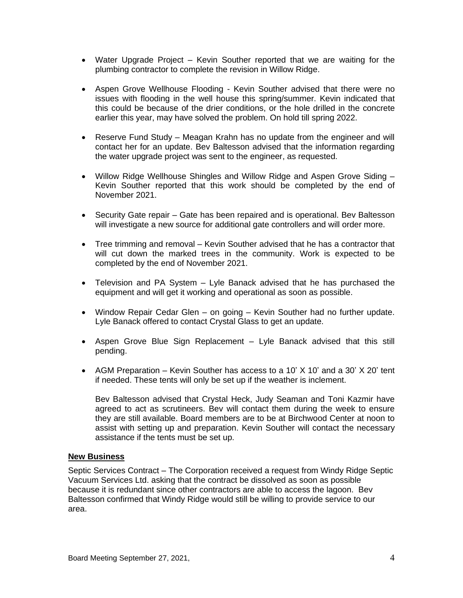- Water Upgrade Project Kevin Souther reported that we are waiting for the plumbing contractor to complete the revision in Willow Ridge.
- Aspen Grove Wellhouse Flooding Kevin Souther advised that there were no issues with flooding in the well house this spring/summer. Kevin indicated that this could be because of the drier conditions, or the hole drilled in the concrete earlier this year, may have solved the problem. On hold till spring 2022.
- Reserve Fund Study Meagan Krahn has no update from the engineer and will contact her for an update. Bev Baltesson advised that the information regarding the water upgrade project was sent to the engineer, as requested.
- Willow Ridge Wellhouse Shingles and Willow Ridge and Aspen Grove Siding Kevin Souther reported that this work should be completed by the end of November 2021.
- Security Gate repair Gate has been repaired and is operational. Bev Baltesson will investigate a new source for additional gate controllers and will order more.
- Tree trimming and removal Kevin Souther advised that he has a contractor that will cut down the marked trees in the community. Work is expected to be completed by the end of November 2021.
- Television and PA System Lyle Banack advised that he has purchased the equipment and will get it working and operational as soon as possible.
- Window Repair Cedar Glen on going Kevin Souther had no further update. Lyle Banack offered to contact Crystal Glass to get an update.
- Aspen Grove Blue Sign Replacement Lyle Banack advised that this still pending.
- AGM Preparation Kevin Souther has access to a 10' X 10' and a 30' X 20' tent if needed. These tents will only be set up if the weather is inclement.

Bev Baltesson advised that Crystal Heck, Judy Seaman and Toni Kazmir have agreed to act as scrutineers. Bev will contact them during the week to ensure they are still available. Board members are to be at Birchwood Center at noon to assist with setting up and preparation. Kevin Souther will contact the necessary assistance if the tents must be set up.

#### **New Business**

Septic Services Contract – The Corporation received a request from Windy Ridge Septic Vacuum Services Ltd. asking that the contract be dissolved as soon as possible because it is redundant since other contractors are able to access the lagoon. Bev Baltesson confirmed that Windy Ridge would still be willing to provide service to our area.